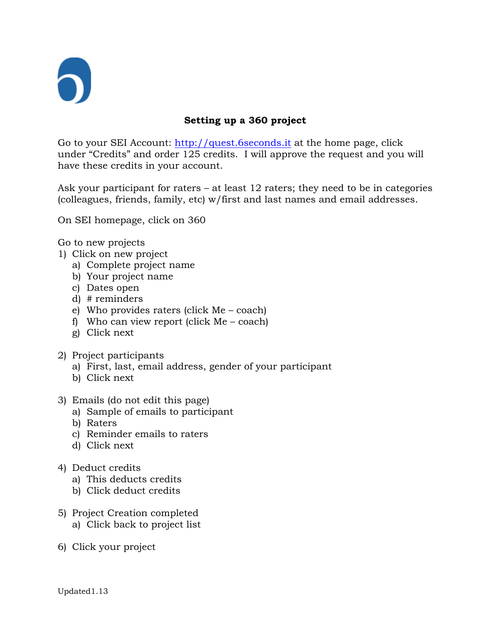

## **Setting up a 360 project**

Go to your SEI Account: [http://quest.6seconds.it](http://quest.6seconds.it/) at the home page, click under "Credits" and order 125 credits. I will approve the request and you will have these credits in your account.

Ask your participant for raters – at least 12 raters; they need to be in categories (colleagues, friends, family, etc) w/first and last names and email addresses.

On SEI homepage, click on 360

Go to new projects

- 1) Click on new project
	- a) Complete project name
	- b) Your project name
	- c) Dates open
	- d) # reminders
	- e) Who provides raters (click Me coach)
	- f) Who can view report (click Me coach)
	- g) Click next
- 2) Project participants
	- a) First, last, email address, gender of your participant
	- b) Click next
- 3) Emails (do not edit this page)
	- a) Sample of emails to participant
	- b) Raters
	- c) Reminder emails to raters
	- d) Click next
- 4) Deduct credits
	- a) This deducts credits
	- b) Click deduct credits
- 5) Project Creation completed a) Click back to project list
- 6) Click your project